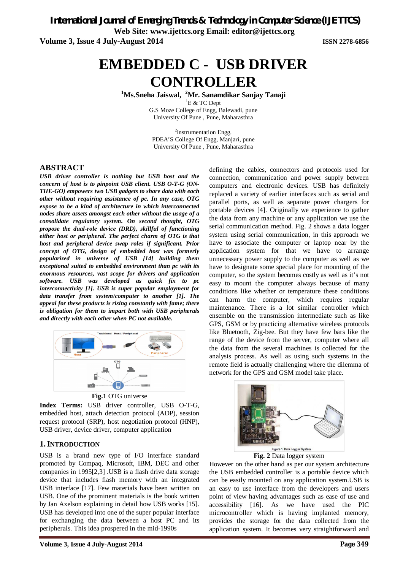*International Journal of Emerging Trends & Technology in Computer Science (IJETTCS)* **Web Site: www.ijettcs.org Email: editor@ijettcs.org** 

**Volume 3, Issue 4 July-August 2014 ISSN 2278-6856**

# **EMBEDDED C - USB DRIVER CONTROLLER**

**<sup>1</sup>Ms.Sneha Jaiswal, <sup>2</sup>Mr. Sanamdikar Sanjay Tanaji**

 ${}^{1}E$  & TC Dept G.S Moze College of Engg, Balewadi, pune University Of Pune , Pune, Maharasthra

<sup>2</sup>Instrumentation Engg. PDEA'S College Of Engg, Manjari, pune University Of Pune , Pune, Maharasthra

#### **ABSTRACT**

*USB driver controller is nothing but USB host and the concern of host is to pinpoint USB client. USB O-T-G (ON-THE-GO) empowers two USB gadgets to share data with each other without requiring assistance of pc. In any case, OTG expose to be a kind of architecture in which interconnected nodes share assets amongst each other without the usage of a consolidate regulatory system. On second thought, OTG propose the dual-role device (DRD), skillful of functioning either host or peripheral. The perfect charm of OTG is that host and peripheral device swap roles if significant. Prior concept of OTG, design of embedded host was formerly popularized in universe of USB [14] building them exceptional suited to embedded environment than pc with its enormous resources, vast scope for drivers and application software. USB was developed as quick fix to pc interconnectivity [1]. USB is super popular employment for data transfer from system/computer to another [1]. The appeal for these products is rising constantly with fame; there is obligation for them to impart both with USB peripherals and directly with each other when PC not available.* 



**Fig.1** OTG universe

**Index Terms:** USB driver controller, USB O-T-G, embedded host, attach detection protocol (ADP), session request protocol (SRP), host negotiation protocol (HNP), USB driver, device driver, computer application

#### **1.INTRODUCTION**

USB is a brand new type of I/O interface standard promoted by Compaq, Microsoft, IBM, DEC and other companies in 1995[2,3] .USB is a flash drive data storage device that includes flash memory with an integrated USB interface [17]. Few materials have been written on USB. One of the prominent materials is the book written by Jan Axelson explaining in detail how USB works [15]. USB has developed into one of the super popular interface for exchanging the data between a host PC and its peripherals. This idea prospered in the mid-1990s

defining the cables, connectors and protocols used for connection, communication and power supply between computers and electronic devices. USB has definitely replaced a variety of earlier interfaces such as serial and parallel ports, as well as separate power chargers for portable devices [4]. Originally we experience to gather the data from any machine or any application we use the serial communication method. Fig. 2 shows a data logger system using serial communication, in this approach we have to associate the computer or laptop near by the application system for that we have to arrange unnecessary power supply to the computer as well as we have to designate some special place for mounting of the computer, so the system becomes costly as well as it's not easy to mount the computer always because of many conditions like whether or temperature these conditions can harm the computer, which requires regular maintenance. There is a lot similar controller which ensemble on the transmission intermediate such as like GPS, GSM or by practicing alternative wireless protocols like Bluetooth, Zig-bee. But they have few bars like the range of the device from the server, computer where all the data from the several machines is collected for the analysis process. As well as using such systems in the remote field is actually challenging where the dilemma of network for the GPS and GSM model take place.



**Fig. 2** Data logger system

However on the other hand as per our system architecture the USB embedded controller is a portable device which can be easily mounted on any application system.USB is an easy to use interface from the developers and users point of view having advantages such as ease of use and accessibility [16]. As we have used the PIC microcontroller which is having implanted memory, provides the storage for the data collected from the application system. It becomes very straightforward and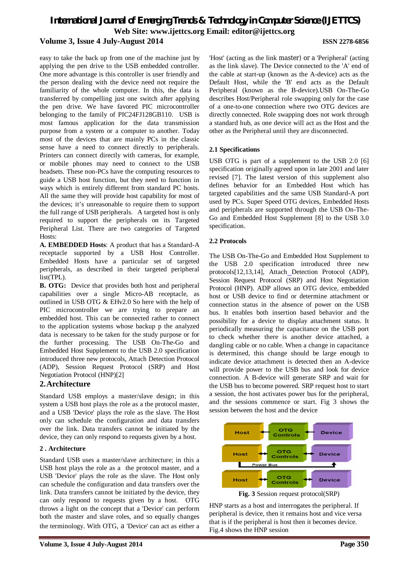# *International Journal of Emerging Trends & Technology in Computer Science (IJETTCS)* **Web Site: www.ijettcs.org Email: editor@ijettcs.org Volume 3, Issue 4 July-August 2014 ISSN 2278-6856**

easy to take the back up from one of the machine just by applying the pen drive to the USB embedded controller. One more advantage is this controller is user friendly and the person dealing with the device need not require the familiarity of the whole computer. In this, the data is transferred by compelling just one switch after applying the pen drive. We have favored PIC microcontroller belonging to the family of PIC24FJ128GB110. USB is most famous application for the data transmission purpose from a system or a computer to another. Today most of the devices that are mainly PCs in the classic sense have a need to connect directly to peripherals. Printers can connect directly with cameras, for example, or mobile phones may need to connect to the USB headsets. These non-PCs have the computing resources to guide a USB host function, but they need to function in ways which is entirely different from standard PC hosts. All the same they will provide host capability for most of the devices; it's unreasonable to require them to support the full range of USB peripherals. A targeted host is only required to support the peripherals on its Targeted Peripheral List. There are two categories of Targeted Hosts:

**A. EMBEDDED Hosts**: A product that has a Standard-A receptacle supported by a USB Host Controller. Embedded Hosts have a particular set of targeted peripherals, as described in their targeted peripheral list(TPL).

**B. OTG:** Device that provides both host and peripheral capabilities over a single Micro-AB receptacle, as outlined in USB OTG & EHv2.0 So here with the help of PIC microcontroller we are trying to prepare an embedded host. This can be connected rather to connect to the application systems whose backup p the analyzed data is necessary to be taken for the study purpose or for the further processing. The USB On-The-Go and Embedded Host Supplement to the USB 2.0 specification introduced three new protocols, Attach Detection Protocol (ADP), Session Request Protocol (SRP) and Host Negotiation Protocol (HNP)[2]

#### **2.Architecture**

Standard USB employs a master/slave design; in this system a USB host plays the role as a the protocol master, and a USB 'Device' plays the role as the slave. The Host only can schedule the configuration and data transfers over the link. Data transfers cannot be initiated by the device, they can only respond to requests given by a host.

#### **2 . Architecture**

Standard USB uses a master/slave architecture; in this a USB host plays the role as a the protocol master, and a USB 'Device' plays the role as the slave. The Host only can schedule the configuration and data transfers over the link. Data transfers cannot be initiated by the device, they can only respond to requests given by a host. OTG throws a light on the concept that a 'Device' can perform both the master and slave roles, and so equally changes the terminology. With OTG, a 'Device' can act as either a

'Host' (acting as the link master) or a 'Peripheral' (acting as the link slave). The Device connected to the 'A' end of the cable at start-up (known as the A-device) acts as the Default Host, while the 'B' end acts as the Default Peripheral (known as the B-device).USB On-The-Go describes Host/Peripheral role swapping only for the case of a one-to-one connection where two OTG devices are directly connected. Role swapping does not work through a standard hub, as one device will act as the Host and the other as the Peripheral until they are disconnected.

#### **2.1 Specifications**

USB OTG is part of a supplement to the USB 2.0 [6] specification originally agreed upon in late 2001 and later revised [7]. The latest version of this supplement also defines behavior for an Embedded Host which has targeted capabilities and the same USB Standard-A port used by PCs. Super Speed OTG devices, Embedded Hosts and peripherals are supported through the USB On-The-Go and Embedded Host Supplement [8] to the USB 3.0 specification.

#### **2.2 Protocols**

The USB On-The-Go and Embedded Host Supplement to the USB 2.0 specification introduced three new protocols[12,13,14], Attach Detection Protocol (ADP), Session Request Protocol (SRP) and Host Negotiation Protocol (HNP). ADP allows an OTG device, embedded host or USB device to find or determine attachment or connection status in the absence of power on the USB bus. It enables both insertion based behavior and the possibility for a device to display attachment status. It periodically measuring the capacitance on the USB port to check whether there is another device attached, a dangling cable or no cable. When a change in capacitance is determined, this change should be large enough to indicate device attachment is detected then an A-device will provide power to the USB bus and look for device connection. A B-device will generate SRP and wait for the USB bus to become powered. SRP request host to start a session, the host activates power bus for the peripheral, and the sessions commence or start. Fig 3 shows the session between the host and the device



**Fig. 3** Session request protocol(SRP)

HNP starts as a host and interrogates the peripheral. If peripheral is device, then it remains host and vice versa that is if the peripheral is host then it becomes device. Fig.4 shows the HNP session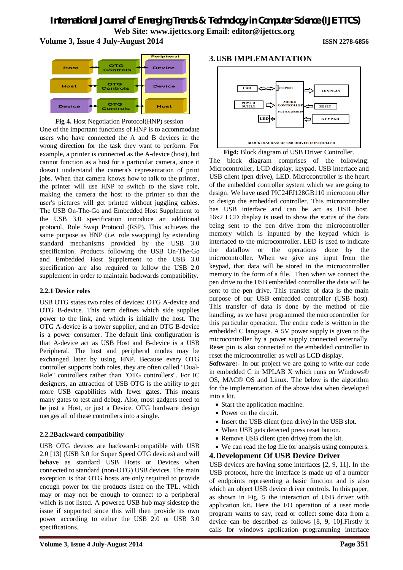# *International Journal of Emerging Trends & Technology in Computer Science (IJETTCS)* **Web Site: www.ijettcs.org Email: editor@ijettcs.org**

**Volume 3, Issue 4 July-August 2014 ISSN 2278-6856**





#### **Fig 4.** Host Negotiation Protocol(HNP) session

One of the important functions of HNP is to accommodate users who have connected the A and B devices in the wrong direction for the task they want to perform. For example, a printer is connected as the A-device (host), but cannot function as a host for a particular camera, since it doesn't understand the camera's representation of print jobs. When that camera knows how to talk to the printer, the printer will use HNP to switch to the slave role, making the camera the host to the printer so that the user's pictures will get printed without juggling cables. The USB On-The-Go and Embedded Host Supplement to the USB 3.0 specification introduce an additional protocol, Role Swap Protocol (RSP). This achieves the same purpose as HNP (i.e. role swapping) by extending standard mechanisms provided by the USB 3.0 specification. Products following the USB On-The-Go and Embedded Host Supplement to the USB 3.0 specification are also required to follow the USB 2.0 supplement in order to maintain backwards compatibility.

#### **2.2.1 Device roles**

USB OTG states two roles of devices: OTG A-device and OTG B-device. This term defines which side supplies power to the link, and which is initially the host. The OTG A-device is a power supplier, and an OTG B-device is a power consumer. The default link configuration is that A-device act as USB Host and B-device is a USB Peripheral. The host and peripheral modes may be exchanged later by using HNP. Because every OTG controller supports both roles, they are often called "Dual-Role" controllers rather than "OTG controllers". For IC designers, an attraction of USB OTG is the ability to get more USB capabilities with fewer gates. This means many gates to test and debug. Also, most gadgets need to be just a Host, or just a Device. OTG hardware design merges all of these controllers into a single.

#### **2.2.2Backward compatibility**

USB OTG devices are backward-compatible with USB 2.0 [13] (USB 3.0 for Super Speed OTG devices) and will behave as standard USB Hosts or Devices when connected to standard (non-OTG) USB devices. The main exception is that OTG hosts are only required to provide enough power for the products listed on the TPL, which may or may not be enough to connect to a peripheral which is not listed. A powered USB hub may sidestep the issue if supported since this will then provide its own power according to either the USB 2.0 or USB 3.0 specifications.

#### **3.USB IMPLEMANTATION**



**Fig4:** Block diagram of USB Driver Controller. The block diagram comprises of the following: Microcontroller, LCD display, keypad, USB interface and USB client (pen drive), LED. Microcontroller is the heart of the embedded controller system which we are going to design. We have used PIC24FJ128GB110 microcontroller to design the embedded controller. This microcontroller has USB interface and can be act as USB host. 16x2 LCD display is used to show the status of the data being sent to the pen drive from the microcontroller memory which is inputted by the keypad which is interfaced to the microcontroller. LED is used to indicate the dataflow or the operations done by the microcontroller. When we give any input from the keypad, that data will be stored in the microcontroller memory in the form of a file. Then when we connect the pen drive to the USB embedded controller the data will be sent to the pen drive. This transfer of data is the main purpose of our USB embedded controller (USB host). This transfer of data is done by the method of file handling, as we have programmed the microcontroller for this particular operation. The entire code is written in the embedded C language. A 5V power supply is given to the microcontroller by a power supply connected externally. Reset pin is also connected to the embedded controller to reset the microcontroller as well as LCD display.

**Software:** In our project we are going to write our code in embedded C in MPLAB X which runs on Windows® OS, MAC® OS and Linux. The below is the algorithm for the implementation of the above idea when developed into a kit.

- Start the application machine.
- Power on the circuit.
- Insert the USB client (pen drive) in the USB slot.
- When USB gets detected press reset button.
- Remove USB client (pen drive) from the kit.
- We can read the log file for analysis using computers.

#### **4.Development Of USB Device Driver**

USB devices are having some interfaces [2, 9, 11]. In the USB protocol, here the interface is made up of a number of endpoints representing a basic function and is also which an object USB device driver controls. In this paper, as shown in Fig. 5 the interaction of USB driver with application kit**.** Here the I/O operation of a user mode program wants to say, read or collect some data from a device can be described as follows [8, 9, 10].Firstly it calls for windows application programming interface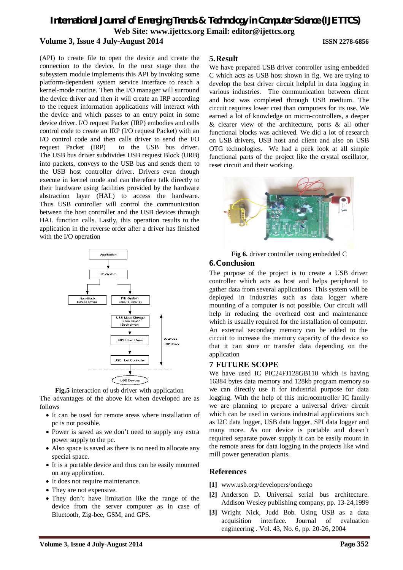# *International Journal of Emerging Trends & Technology in Computer Science (IJETTCS)* **Web Site: www.ijettcs.org Email: editor@ijettcs.org Volume 3, Issue 4 July-August 2014 ISSN 2278-6856**

(API) to create file to open the device and create the connection to the device. In the next stage then the subsystem module implements this API by invoking some platform-dependent system service interface to reach a kernel-mode routine. Then the I/O manager will surround the device driver and then it will create an IRP according to the request information applications will interact with the device and which passes to an entry point in some device driver. I/O request Packet (IRP) embodies and calls control code to create an IRP (I/O request Packet) with an I/O control code and then calls driver to send the I/O request Packet (IRP) to the USB bus driver. The USB bus driver subdivides USB request Block (URB) into packets, conveys to the USB bus and sends them to the USB host controller driver. Drivers even though execute in kernel mode and can therefore talk directly to their hardware using facilities provided by the hardware abstraction layer (HAL) to access the hardware. Thus USB controller will control the communication between the host controller and the USB devices through HAL function calls. Lastly, this operation results to the application in the reverse order after a driver has finished with the I/O operation



**Fig.5** interaction of usb driver with application

The advantages of the above kit when developed are as follows

- It can be used for remote areas where installation of pc is not possible.
- Power is saved as we don't need to supply any extra power supply to the pc.
- Also space is saved as there is no need to allocate any special space.
- It is a portable device and thus can be easily mounted on any application.
- It does not require maintenance.
- They are not expensive.
- They don't have limitation like the range of the device from the server computer as in case of Bluetooth, Zig-bee, GSM, and GPS.

#### **5.Result**

We have prepared USB driver controller using embedded C which acts as USB host shown in fig. We are trying to develop the best driver circuit helpful in data logging in various industries. The communication between client and host was completed through USB medium. The circuit requires lower cost than computers for its use. We earned a lot of knowledge on micro-controllers, a deeper & clearer view of the architecture, ports & all other functional blocks was achieved. We did a lot of research on USB drivers, USB host and client and also on USB OTG technologies. We had a peek look at all simple functional parts of the project like the crystal oscillator, reset circuit and their working.



**Fig 6.** driver controller using embedded C

### **6.Conclusion**

The purpose of the project is to create a USB driver controller which acts as host and helps peripheral to gather data from several applications. This system will be deployed in industries such as data logger where mounting of a computer is not possible. Our circuit will help in reducing the overhead cost and maintenance which is usually required for the installation of computer. An external secondary memory can be added to the circuit to increase the memory capacity of the device so that it can store or transfer data depending on the application

#### **7 FUTURE SCOPE**

We have used IC PIC24FJ128GB110 which is having 16384 bytes data memory and 128kb program memory so we can directly use it for industrial purpose for data logging. With the help of this microcontroller IC family we are planning to prepare a universal driver circuit which can be used in various industrial applications such as I2C data logger, USB data logger, SPI data logger and many more. As our device is portable and doesn't required separate power supply it can be easily mount in the remote areas for data logging in the projects like wind mill power generation plants.

# **References**

- **[1]** www.usb.org/developers/onthego
- **[2]** Anderson D. Universal serial bus architecture. Addison Wesley publishing company, pp. 13-24,1999
- **[3]** Wright Nick, Judd Bob. Using USB as a data acquisition interface. Journal of evaluation engineering . Vol. 43, No. 6, pp. 20-26, 2004